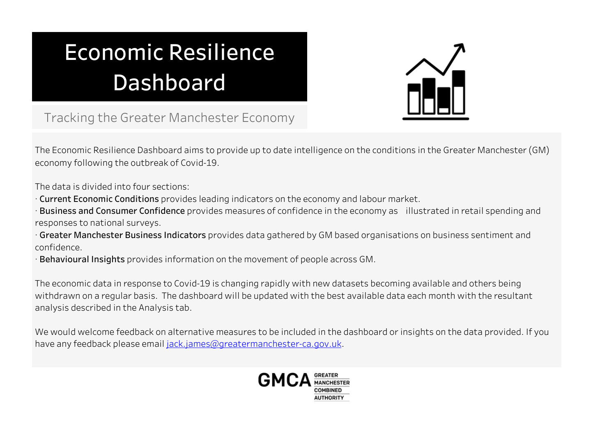## **Economic Resilience** Dashboard



Tracking the Greater Manchester Economy

The Economic Resilience Dashboard aims to provide up to date intelligence on the conditions in the Greater Manchester (GM) economy following the outbreak of Covid-19.

The data is divided into four sections:

- · Current Economic Conditions provides leading indicators on the economy and labour market.
- Business and Consumer Confidence provides measures of confidence in the economy as illustrated in retail spending and responses to national surveys.
- · Greater Manchester Business Indicators provides data gathered by GM based organisations on business sentiment and confidence.
- · Behavioural Insights provides information on the movement of people across GM.

The economic data in response to Covid-19 is changing rapidly with new datasets becoming available and others being withdrawn on a regular basis. The dashboard will be updated with the best available data each month with the resultant analysis described in the Analysis tab.

We would welcome feedback on alternative measures to be included in the dashboard or insights on the data provided. If you have any feedback please email jack.james@greatermanchester-ca.gov.uk.

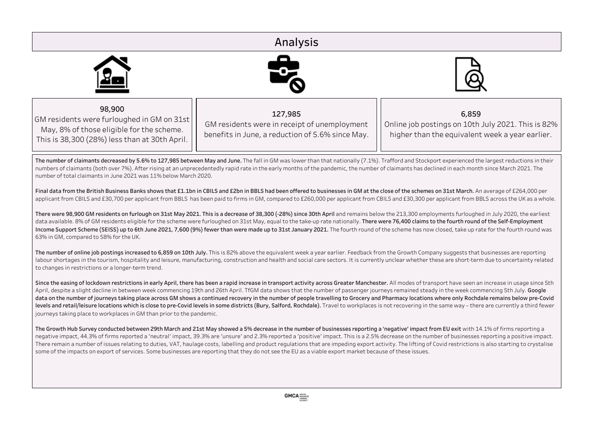## Analysis 98,900 127,985 6,859 GM residents were furloughed in GM on 31st GM residents were in receipt of unemployment Online job postings on 10th July 2021. This is 82% May, 8% of those eligible for the scheme. benefits in June, a reduction of 5.6% since May. higher than the equivalent week a vear earlier. This is 38,300 (28%) less than at 30th April. The number of claimants decreased by 5.6% to 127,985 between May and June. The fall in GM was lower than that nationally (7.1%). Trafford and Stockport experienced the largest reductions in their numbers of claimants (both over 7%). After rising at an unprecedentedly rapid rate in the early months of the pandemic, the number of claimants has declined in each month since March 2021. The numberoftotalclaimantsinJune2021was11%belowMarch2020. Final data from the British Business Banks shows that £1.1bn in CBILS and £2bn in BBLS had been offered to businesses in GM at the close of the schemes on 31st March. An average of £264,000 per applicant from CBILS and £30,700 per applicant from BBLS has been paid to firms in GM, compared to £260,000 per applicant from CBILS and £30,300 per applicant from BBLS across the UK as a whole. There were 98,900 GM residents on furlough on 31st May 2021. This is a decrease of 38,300 (-28%) since 30th April and remains below the 213,300 employments furloughed in July 2020, the earliest data available. 8% of GM residents eligible for the scheme were furloughed on 31st May, equal to the take-up rate nationally. There were 76,400 claims to the fourth round of the Self-Employment Income Support Scheme (SEISS) up to 6th June 2021, 7,600 (9%) fewer than were made up to 31st January 2021. The fourth round of the scheme has now closed, take up rate for the fourth round was 63% in GM, compared to 58% for the UK. The number of online job postings increased to 6,859 on 10th July. This is 82% above the equivalent week a year earlier. Feedback from the Growth Company suggests that businesses are reporting labour shortages in the tourism, hospitality and leisure, manufacturing, construction and health and social care sectors. It is currently unclear whether these are short-term due to uncertainty related to changes in restrictions or a longer-term trend. Since the easing of lockdown restrictions in early April, there has been a rapid increase in transport activity across Greater Manchester. All modes of transport have seen an increase in usage since 5th April, despite a slight decline in between week commencing 19th and 26th April. TfGM data shows that the number of passenger journeys remained steady in the week commencing 5th July. Google data on the number of journeys taking place across GM shows a continued recovery in the number of people travelling to Grocery and Pharmacy locations where only Rochdale remains below pre-Covid levels and retail/leisure locations which is close to pre-Covid levels in some districts (Bury, Salford, Rochdale). Travel to workplaces is not recovering in the same way - there are currently a third fewer journeys taking place to workplaces in GM than prior to the pandemic. The Growth Hub Survey conducted between 29th March and 21st May showed a 5% decrease in the number of businesses reporting a 'negative' impact from EU exit with 14.1% of firms reporting a negative impact, 44.3% of firms reported a 'neutral' impact, 39.3% are 'unsure' and 2.3% reported a 'positive' impact. This is a 2.5% decrease on the number of businesses reporting a positive impact. There remain a number of issues relating to duties, VAT, haulage costs, labelling and product regulations that are impeding export activity. The lifting of Covid restrictions is also starting to crystalise some of the impacts on export of services. Some businesses are reporting that they do not see the EU as a viable export market because of these issues.  $GMCA$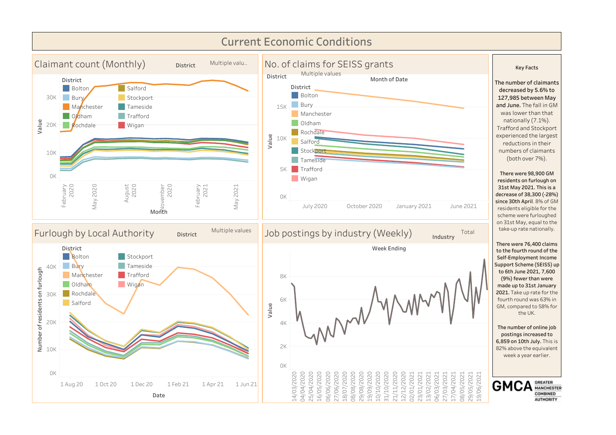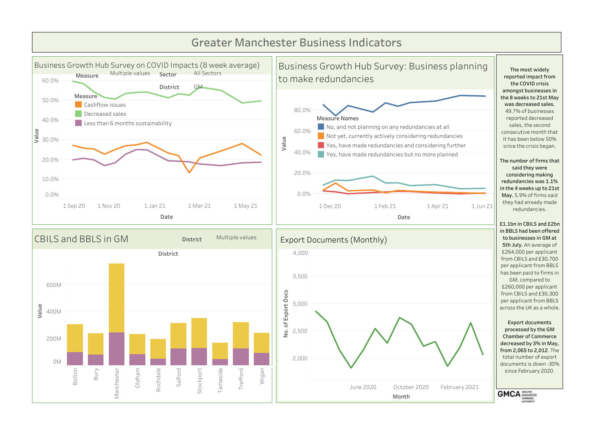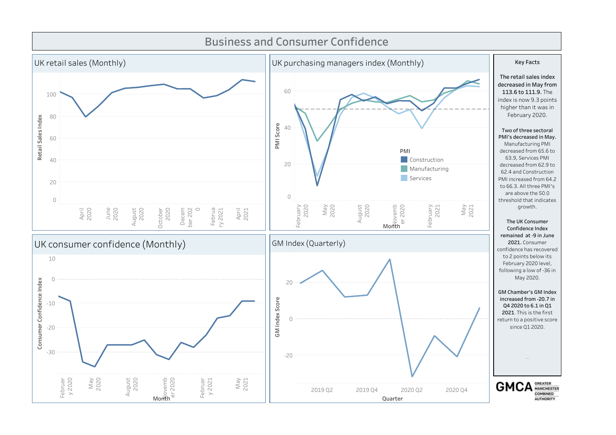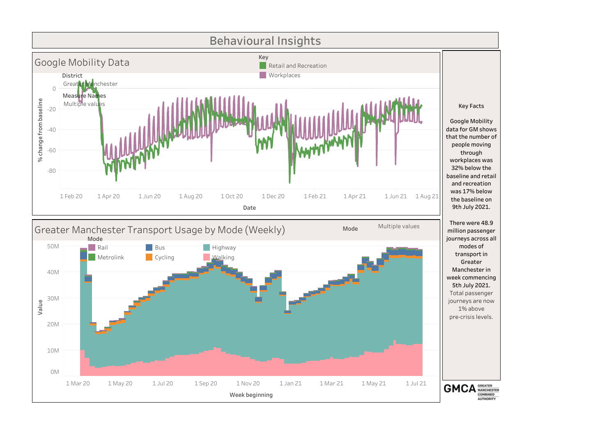